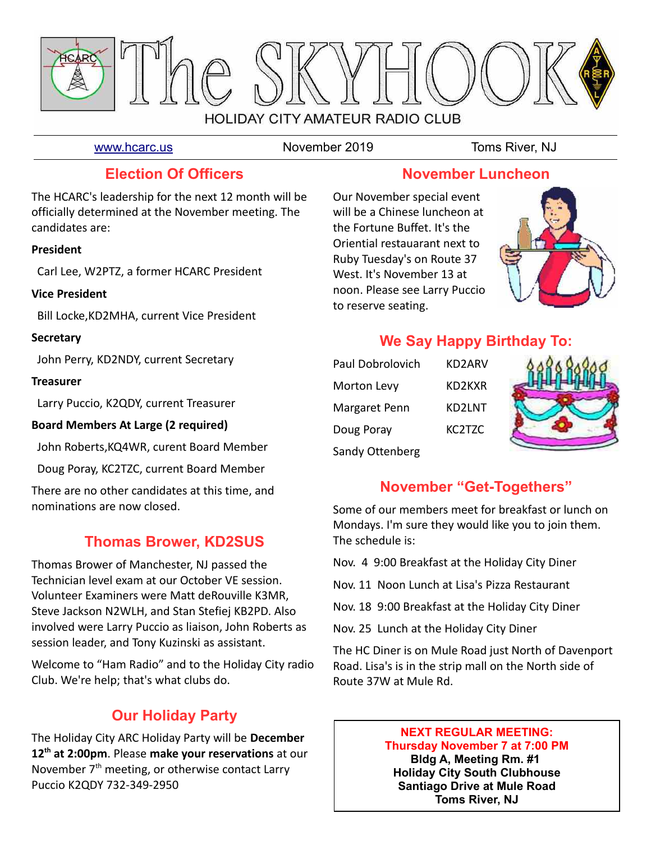

[www.hcarc.us](http://www.hcarc.us/) November 2019 Toms River, NJ

## **Election Of Officers**

The HCARC's leadership for the next 12 month will be officially determined at the November meeting. The candidates are:

#### **President**

Carl Lee, W2PTZ, a former HCARC President

#### **Vice President**

Bill Locke,KD2MHA, current Vice President

#### **Secretary**

John Perry, KD2NDY, current Secretary

#### **Treasurer**

Larry Puccio, K2QDY, current Treasurer

## **Board Members At Large (2 required)**

John Roberts,KQ4WR, curent Board Member

Doug Poray, KC2TZC, current Board Member

There are no other candidates at this time, and nominations are now closed.

## **Thomas Brower, KD2SUS**

Thomas Brower of Manchester, NJ passed the Technician level exam at our October VE session. Volunteer Examiners were Matt deRouville K3MR, Steve Jackson N2WLH, and Stan Stefiej KB2PD. Also involved were Larry Puccio as liaison, John Roberts as session leader, and Tony Kuzinski as assistant.

Welcome to "Ham Radio" and to the Holiday City radio Club. We're help; that's what clubs do.

## **Our Holiday Party**

The Holiday City ARC Holiday Party will be **December 12th at 2:00pm**. Please **make your reservations** at our November  $7<sup>th</sup>$  meeting, or otherwise contact Larry Puccio K2QDY 732-349-2950

## **November Luncheon**

Our November special event will be a Chinese luncheon at the Fortune Buffet. It's the Oriential restauarant next to Ruby Tuesday's on Route 37 West. It's November 13 at noon. Please see Larry Puccio to reserve seating.



## **We Say Happy Birthday To:**

| Paul Dobrolovich   | KD2ARV |
|--------------------|--------|
| <b>Morton Levy</b> | KD2KXR |
| Margaret Penn      | KD2LNT |
| Doug Poray         | KC2TZC |
| Sandy Ottenberg    |        |



## **November "Get-Togethers"**

Some of our members meet for breakfast or lunch on Mondays. I'm sure they would like you to join them. The schedule is:

- Nov. 4 9:00 Breakfast at the Holiday City Diner
- Nov. 11 Noon Lunch at Lisa's Pizza Restaurant
- Nov. 18 9:00 Breakfast at the Holiday City Diner
- Nov. 25 Lunch at the Holiday City Diner

The HC Diner is on Mule Road just North of Davenport Road. Lisa's is in the strip mall on the North side of Route 37W at Mule Rd.

#### **NEXT REGULAR MEETING: Thursday November 7 at 7:00 PM Bldg A, Meeting Rm. #1 Holiday City South Clubhouse Santiago Drive at Mule Road**

**Toms River, NJ**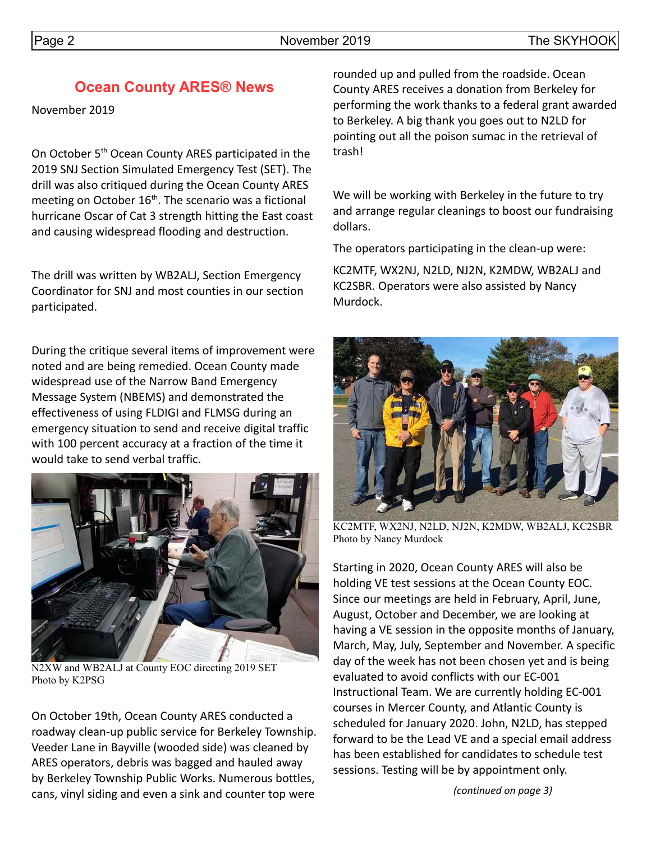#### Page 2 and the SKYHOOK November 2019 and the SKYHOOK

## **Ocean County ARES® News**

November 2019

On October 5<sup>th</sup> Ocean County ARES participated in the 2019 SNJ Section Simulated Emergency Test (SET). The drill was also critiqued during the Ocean County ARES meeting on October  $16<sup>th</sup>$ . The scenario was a fictional hurricane Oscar of Cat 3 strength hitting the East coast and causing widespread flooding and destruction.

The drill was written by WB2ALJ, Section Emergency Coordinator for SNJ and most counties in our section participated.

During the critique several items of improvement were noted and are being remedied. Ocean County made widespread use of the Narrow Band Emergency Message System (NBEMS) and demonstrated the effectiveness of using FLDIGI and FLMSG during an emergency situation to send and receive digital traffic with 100 percent accuracy at a fraction of the time it would take to send verbal traffic.



N2XW and WB2ALJ at County EOC directing 2019 SET Photo by K2PSG

On October 19th, Ocean County ARES conducted a roadway clean-up public service for Berkeley Township. Veeder Lane in Bayville (wooded side) was cleaned by ARES operators, debris was bagged and hauled away by Berkeley Township Public Works. Numerous bottles, cans, vinyl siding and even a sink and counter top were

rounded up and pulled from the roadside. Ocean County ARES receives a donation from Berkeley for performing the work thanks to a federal grant awarded to Berkeley. A big thank you goes out to N2LD for pointing out all the poison sumac in the retrieval of trash!

We will be working with Berkeley in the future to try and arrange regular cleanings to boost our fundraising dollars.

The operators participating in the clean-up were:

KC2MTF, WX2NJ, N2LD, NJ2N, K2MDW, WB2ALJ and KC2SBR. Operators were also assisted by Nancy Murdock.



KC2MTF, WX2NJ, N2LD, NJ2N, K2MDW, WB2ALJ, KC2SBR Photo by Nancy Murdock

Starting in 2020, Ocean County ARES will also be holding VE test sessions at the Ocean County EOC. Since our meetings are held in February, April, June, August, October and December, we are looking at having a VE session in the opposite months of January, March, May, July, September and November. A specific day of the week has not been chosen yet and is being evaluated to avoid conflicts with our EC-001 Instructional Team. We are currently holding EC-001 courses in Mercer County, and Atlantic County is scheduled for January 2020. John, N2LD, has stepped forward to be the Lead VE and a special email address has been established for candidates to schedule test sessions. Testing will be by appointment only.

*(continued on page 3)*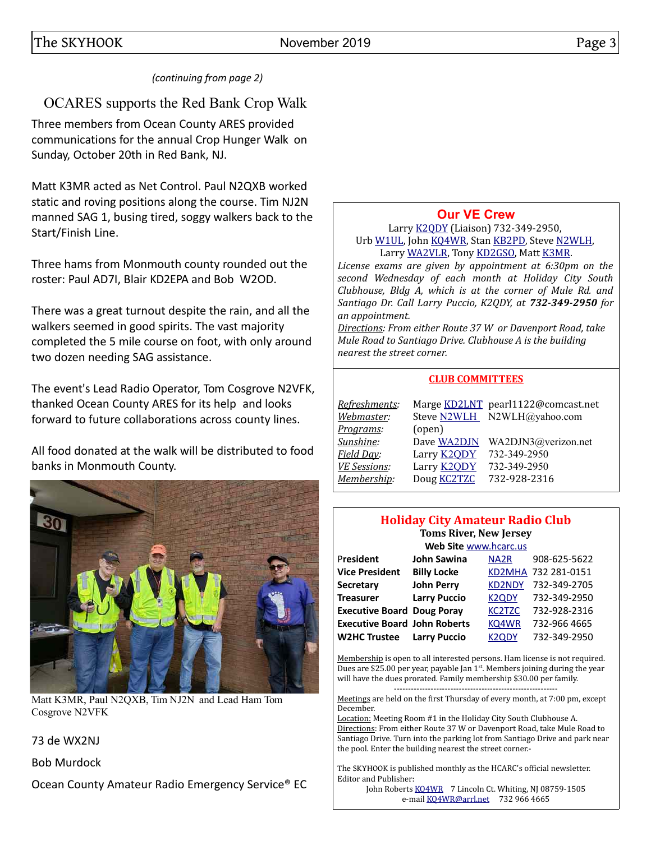#### *(continuing from page 2)*

## OCARES supports the Red Bank Crop Walk

Three members from Ocean County ARES provided communications for the annual Crop Hunger Walk on Sunday, October 20th in Red Bank, NJ.

Matt K3MR acted as Net Control. Paul N2QXB worked static and roving positions along the course. Tim NJ2N manned SAG 1, busing tired, soggy walkers back to the Start/Finish Line.

Three hams from Monmouth county rounded out the roster: Paul AD7I, Blair KD2EPA and Bob W2OD.

There was a great turnout despite the rain, and all the walkers seemed in good spirits. The vast majority completed the 5 mile course on foot, with only around two dozen needing SAG assistance.

The event's Lead Radio Operator, Tom Cosgrove N2VFK, thanked Ocean County ARES for its help and looks forward to future collaborations across county lines.

All food donated at the walk will be distributed to food banks in Monmouth County.



Matt K3MR, Paul N2QXB, Tim NJ2N and Lead Ham Tom Cosgrove N2VFK

#### 73 de WX2NJ

Bob Murdock

Ocean County Amateur Radio Emergency Service® EC

## **[Our VE Crew](mailto:lpuccio1@comcast.net?subject=VE)**

Larry [K2QDY](mailto:lpuccio071@gmail.com) (Liaison) 732-349-2950, Urb [W1UL,](mailto:urb@W1UL.com) John [KQ4WR,](mailto:kq4wr@arrl.net) Stan [KB2PD,](mailto:kb2pd@hotmail.com) Steve [N2WLH,](mailto:n2wlh@yahoo.com) Larry [WA2VLR,](mailto:lloscalz@optonline.net) Tony [KD2GSO,](mailto:tonyk613@comcast.net) Matt [K3MR.](mailto:baltimatt@verizon.net)

*License exams are given by appointment at 6:30pm on the second Wednesday of each month at Holiday City South Clubhouse, Bldg A, which is at the corner of Mule Rd. and Santiago Dr. Call Larry Puccio, K2QDY, at 732-349-2950 for an appointment.* 

*Directions: From either Route 37 W or Davenport Road, take Mule Road to Santiago Drive. Clubhouse A is the building nearest the street corner.*

#### **CLUB COMMITTEES**

| Refreshments:       |                    | Marge KD2LNT pearl1122@comcast.net |
|---------------------|--------------------|------------------------------------|
| Webmaster:          |                    | Steve N2WLH N2WLH@yahoo.com        |
| Programs:           | (open)             |                                    |
| Sunshine:           | Dave WA2DJN        | WA2DJN3@verizon.net                |
| Field Day:          | Larry <b>K2QDY</b> | 732-349-2950                       |
| <b>VE Sessions:</b> | Larry <b>K2QDY</b> | 732-349-2950                       |
| Membership:         | Doug <b>KC2TZC</b> | 732-928-2316                       |

#### **Holiday City Amateur Radio Club Toms River, New Jersey**

|                                     | Web Site www.hcarc.us |                   |                     |
|-------------------------------------|-----------------------|-------------------|---------------------|
| President                           | John Sawina           | NA <sub>2</sub> R | 908-625-5622        |
| <b>Vice President</b>               | <b>Billy Locke</b>    |                   | KD2MHA 732 281-0151 |
| <b>Secretary</b>                    | <b>John Perry</b>     | <b>KD2NDY</b>     | 732-349-2705        |
| <b>Treasurer</b>                    | <b>Larry Puccio</b>   | <b>K2QDY</b>      | 732-349-2950        |
| <b>Executive Board Doug Poray</b>   |                       | <b>KC2TZC</b>     | 732-928-2316        |
| <b>Executive Board John Roberts</b> |                       | KQ4WR             | 732-966 4665        |
| <b>W2HC Trustee</b>                 | <b>Larry Puccio</b>   | <b>K2QDY</b>      | 732-349-2950        |

Membership is open to all interested persons. Ham license is not required. Dues are \$25.00 per year, payable Jan  $1<sup>st</sup>$ . Members joining during the year will have the dues prorated. Family membership \$30.00 per family. ----------------------------------------------------------

Meetings are held on the first Thursday of every month, at 7:00 pm, except December.

Location: Meeting Room #1 in the Holiday City South Clubhouse A. Directions: From either Route 37 W or Davenport Road, take Mule Road to Santiago Drive. Turn into the parking lot from Santiago Drive and park near the pool. Enter the building nearest the street corner.-

The SKYHOOK is published monthly as the HCARC's official newsletter. Editor and Publisher:

John Roberts [KQ4WR](mailto:kq4wr@arrl.net) 7 Lincoln Ct. Whiting, NJ 08759-1505 e-mail [KQ4WR@arrl.net](mailto:KQ4WR@arrl.net) 732 966 4665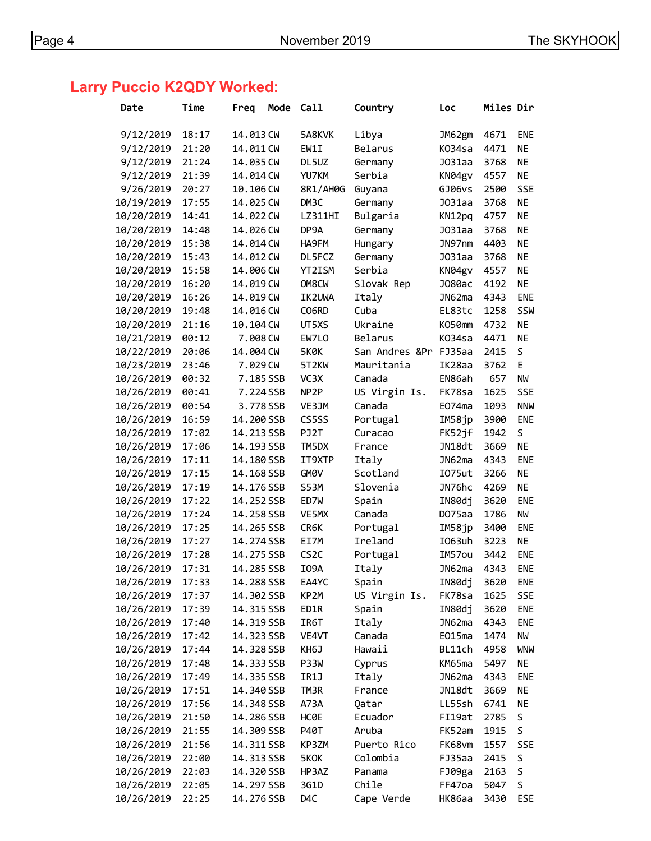# **Larry Puccio K2QDY Worked:**

| Date       | Time  | Freq       | Mode | Call               | Country             | Loc           | Miles Dir |            |
|------------|-------|------------|------|--------------------|---------------------|---------------|-----------|------------|
|            |       |            |      |                    |                     |               |           |            |
| 9/12/2019  | 18:17 | 14.013 CW  |      | 5A8KVK             | Libya               | JM62gm        | 4671      | <b>ENE</b> |
| 9/12/2019  | 21:20 | 14.011 CW  |      | EW1I               | Belarus             | K034sa        | 4471      | <b>NE</b>  |
| 9/12/2019  | 21:24 | 14.035 CW  |      | DL5UZ              | Germany             | J031aa        | 3768      | <b>NE</b>  |
| 9/12/2019  | 21:39 | 14.014 CW  |      | YU7KM              | Serbia              | KN04gv        | 4557      | <b>NE</b>  |
| 9/26/2019  | 20:27 | 10.106 CW  |      | 8R1/AH0G           | Guyana              | GJ06vs        | 2500      | <b>SSE</b> |
| 10/19/2019 | 17:55 | 14.025 CW  |      | DM3C               | Germany             | J031aa        | 3768      | <b>NE</b>  |
| 10/20/2019 | 14:41 | 14.022 CW  |      | LZ311HI            | Bulgaria            | KN12pq        | 4757      | <b>NE</b>  |
| 10/20/2019 | 14:48 | 14.026 CW  |      | DP9A               | Germany             | J031aa        | 3768      | <b>NE</b>  |
| 10/20/2019 | 15:38 | 14,014 CW  |      | HA9FM              | Hungary             | JN97nm        | 4403      | <b>NE</b>  |
| 10/20/2019 | 15:43 | 14.012 CW  |      | DL5FCZ             | Germany             | J031aa        | 3768      | <b>NE</b>  |
| 10/20/2019 | 15:58 | 14.006 CW  |      | YT2ISM             | Serbia              | KN04gv        | 4557      | <b>NE</b>  |
| 10/20/2019 | 16:20 | 14.019 CW  |      | OM8CW              | Slovak Rep          | J080ac        | 4192      | <b>NE</b>  |
| 10/20/2019 | 16:26 | 14.019 CW  |      | IK2UWA             | Italy               | JN62ma        | 4343      | <b>ENE</b> |
| 10/20/2019 | 19:48 | 14.016 CW  |      | CO6RD              | Cuba                | EL83tc        | 1258      | SSW        |
| 10/20/2019 | 21:16 | 10.104 CW  |      | UT5XS              | Ukraine             | K050mm        | 4732      | <b>NE</b>  |
| 10/21/2019 | 00:12 | 7.008 CW   |      | EW7LO              | Belarus             | K034sa        | 4471      | <b>NE</b>  |
| 10/22/2019 | 20:06 | 14.004 CW  |      | <b>5K0K</b>        | San Andres ⪻ FJ35aa |               | 2415      | S          |
| 10/23/2019 | 23:46 | 7.029 CW   |      | 5T <sub>2</sub> KW | Mauritania          | IK28aa        | 3762      | E          |
| 10/26/2019 | 00:32 | 7.185 SSB  |      | VC3X               | Canada              | EN86ah        | 657       | <b>NW</b>  |
| 10/26/2019 | 00:41 | 7.224 SSB  |      | NP <sub>2</sub> P  | US Virgin Is.       | FK78sa        | 1625      | <b>SSE</b> |
| 10/26/2019 | 00:54 | 3.778 SSB  |      | VE3JM              | Canada              | E074ma        | 1093      | <b>NNW</b> |
| 10/26/2019 | 16:59 | 14.200 SSB |      | CS5SS              | Portugal            | IM58jp        | 3900      | <b>ENE</b> |
| 10/26/2019 | 17:02 | 14.213 SSB |      | PJ2T               | Curacao             | FK52jf        | 1942      | S          |
| 10/26/2019 | 17:06 | 14.193 SSB |      | TM5DX              | France              | JN18dt        | 3669      | <b>NE</b>  |
| 10/26/2019 | 17:11 | 14.180 SSB |      | IT9XTP             | Italy               | JN62ma        | 4343      | <b>ENE</b> |
| 10/26/2019 | 17:15 | 14.168 SSB |      | GM <sub>O</sub> V  | Scotland            | I075ut        | 3266      | <b>NE</b>  |
| 10/26/2019 | 17:19 | 14.176 SSB |      | S53M               | Slovenia            | JN76hc        | 4269      | <b>NE</b>  |
| 10/26/2019 | 17:22 | 14.252 SSB |      | ED7W               | Spain               | IN80dj        | 3620      | <b>ENE</b> |
| 10/26/2019 | 17:24 | 14.258 SSB |      | VE5MX              | Canada              | DO75aa        | 1786      | <b>NW</b>  |
| 10/26/2019 | 17:25 | 14.265 SSB |      | CR6K               | Portugal            | IM58jp        | 3400      | <b>ENE</b> |
| 10/26/2019 | 17:27 | 14.274 SSB |      | EI7M               | Ireland             | I063uh        | 3223      | <b>NE</b>  |
| 10/26/2019 | 17:28 | 14.275 SSB |      | CS <sub>2</sub> C  | Portugal            | IM57ou        | 3442      | <b>ENE</b> |
| 10/26/2019 | 17:31 | 14.285 SSB |      | I09A               | Italy               | JN62ma        | 4343      | <b>ENE</b> |
| 10/26/2019 | 17:33 | 14.288 SSB |      | EA4YC              | Spain               | IN80dj        | 3620      | ENE        |
| 10/26/2019 | 17:37 | 14.302 SSB |      | KP2M               | US Virgin Is.       | FK78sa        | 1625      | SSE        |
| 10/26/2019 | 17:39 | 14.315 SSB |      | ED1R               | Spain               | IN80dj        | 3620      | ENE        |
| 10/26/2019 | 17:40 | 14.319 SSB |      | IR6T               | Italy               | JN62ma        | 4343      | <b>ENE</b> |
| 10/26/2019 | 17:42 | 14.323 SSB |      | VE4VT              | Canada              | EO15ma        | 1474      | NW         |
| 10/26/2019 | 17:44 | 14.328 SSB |      | KH6J               | Hawaii              | BL11ch        | 4958      | <b>WNW</b> |
| 10/26/2019 | 17:48 | 14.333 SSB |      | P33W               | Cyprus              | KM65ma        | 5497      | <b>NE</b>  |
| 10/26/2019 | 17:49 | 14.335 SSB |      | IR1J               | Italy               | JN62ma        | 4343      | ENE        |
| 10/26/2019 | 17:51 | 14.340 SSB |      | TM3R               | France              | JN18dt        | 3669      | <b>NE</b>  |
| 10/26/2019 | 17:56 | 14.348 SSB |      | A73A               | Qatar               | LL55sh        | 6741      | <b>NE</b>  |
| 10/26/2019 | 21:50 | 14.286 SSB |      | <b>HCOE</b>        | Ecuador             | FI19at        | 2785      | S          |
| 10/26/2019 | 21:55 | 14.309 SSB |      | P40T               | Aruba               | FK52am        | 1915      | S          |
| 10/26/2019 | 21:56 | 14.311 SSB |      | KP3ZM              | Puerto Rico         | FK68vm        | 1557      | <b>SSE</b> |
| 10/26/2019 | 22:00 | 14.313 SSB |      | 5KOK               | Colombia            | FJ35aa        | 2415      | S          |
| 10/26/2019 | 22:03 | 14.320 SSB |      | HP3AZ              | Panama              | FJ09ga        | 2163      | S          |
| 10/26/2019 | 22:05 | 14.297 SSB |      | 3G1D               | Chile               | FF47oa        | 5047      | S          |
| 10/26/2019 | 22:25 | 14.276 SSB |      | D4C                | Cape Verde          | <b>HK86aa</b> | 3430      | ESE        |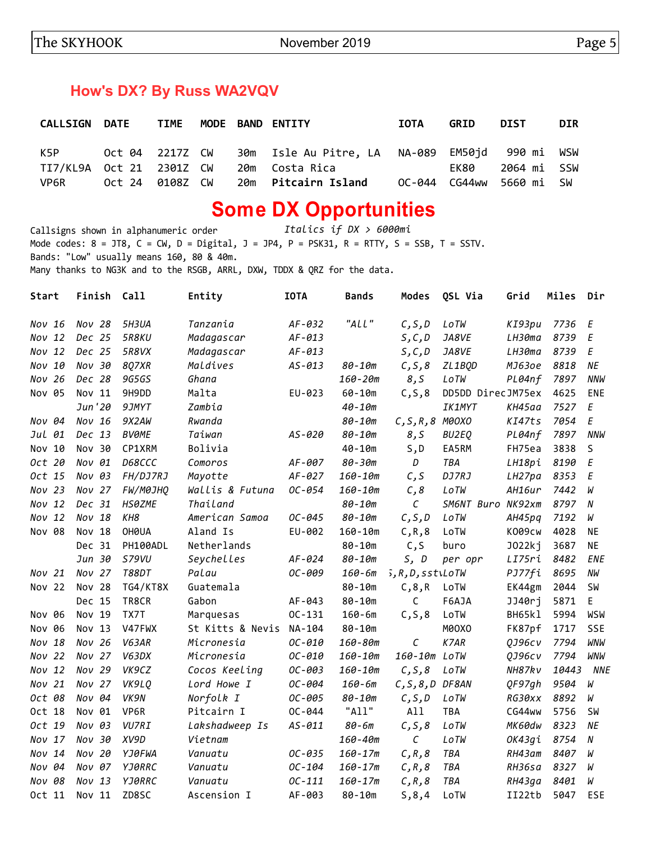## **How's DX? By Russ WA2VQV**

| <b>CALLSIGN DATE</b>     |                 | <b>TIME</b> |  | MODE BAND ENTITY                               | IOTA | <b>GRID</b> | <b>DIST</b>              | <b>DIR</b> |
|--------------------------|-----------------|-------------|--|------------------------------------------------|------|-------------|--------------------------|------------|
| K5P                      | Oct 04 2217Z CW |             |  | 30m Isle Au Pitre, LA NA-089 EM50jd 990 mi WSW |      |             |                          |            |
| TI7/KL9A Oct 21 2301Z CW |                 |             |  | 20m  Costa Rica                                |      | EK80        | 2064 mi  SSW             |            |
| VP6R                     | Oct 24 0108Z CW |             |  | 20m Pitcairn Island                            |      |             | OC-044 CG44ww 5660 mi SW |            |

# **Some DX Opportunities**

Callsigns shown in alphanumeric order *Italics if DX > 6000mi* Mode codes:  $8 = JTS$ ,  $C = CW$ ,  $D = Digital$ ,  $J = JPA$ ,  $P = PSK31$ ,  $R = RTTY$ ,  $S = SSB$ ,  $T = SSTV$ . Bands: "Low" usually means 160, 80 & 40m. Many thanks to NG3K and to the RSGB, ARRL, DXW, TDDX & QRZ for the data.

| Start     | Finish   | Call            | Entity           | <b>IOTA</b> | <b>Bands</b> | Modes              | QSL Via           | Grid          | Miles | Dir        |
|-----------|----------|-----------------|------------------|-------------|--------------|--------------------|-------------------|---------------|-------|------------|
| Nov 16    | Nov 28   | 5H3UA           | Tanzania         | $AF-032$    | "ALL"        | C, S, D            | LoTW              | KI93pu        | 7736  | Ε          |
| Nov 12    | Dec 25   | <b>5R8KU</b>    | Madagascar       | $AF-013$    |              | S, C, D            | JA8VE             | LH30ma        | 8739  | Ε          |
| Nov 12    | Dec 25   | <b>5R8VX</b>    | Madagascar       | $AF-013$    |              | S, C, D            | JA8VE             | LH30ma        | 8739  | E          |
| 10<br>Nov | Nov 30   | <b>8Q7XR</b>    | Maldives         | $AS - 013$  | 80-10m       | C, S, 8            | ZL1BQD            | MJ630e        | 8818  | NE         |
| Nov 26    | Dec 28   | 9G5GS           | Ghana            |             | $160 - 20m$  | 8,5                | LoTW              | PL04nf        | 7897  | <b>NNW</b> |
| Nov 05    | Nov 11   | 9H9DD           | Malta            | EU-023      | $60 - 10m$   | C, S, 8            | DD5DD DirecJM75ex |               | 4625  | ENE        |
|           | Jun '20  | 9JMYT           | Zambia           |             | $40 - 10m$   |                    | <b>IK1MYT</b>     | KH45aa        | 7527  | E          |
| Nov 04    | Nov 16   | 9X2AW           | Rwanda           |             | 80-10m       | $C, S, R, 8$ M00XO |                   | KI47ts        | 7054  | E          |
| Jul 01    | Dec 13   | <b>BVØME</b>    | Taiwan           | $AS - 020$  | 80-10m       | 8,5                | BU2EQ             | PL04nf        | 7897  | <b>NNW</b> |
| Nov 10    | Nov 30   | CP1XRM          | Bolivia          |             | $40 - 10m$   | S,D                | EA5RM             | FH75ea        | 3838  | S          |
| Oct 20    | Nov 01   | D68CCC          | Comoros          | AF-007      | 80-30m       | D                  | TBA               | LH18pi        | 8190  | E          |
| Oct 15    | Nov 03   | FH/DJ7RJ        | Mayotte          | $AF-027$    | $160 - 10m$  | C, S               | DJ7RJ             | LH27pa        | 8353  | E          |
| Nov 23    | $Nov$ 27 | <b>FW/M0JHQ</b> | Wallis & Futuna  | OC-054      | $160 - 10m$  | C, 8               | LoTW              | AH16ur        | 7442  | W          |
| Nov 12    | Dec 31   | <b>HS0ZME</b>   | Thailand         |             | 80-10m       | $\mathcal C$       | SM6NT Buro NK92xm |               | 8797  | ${\cal N}$ |
| Nov 12    | Nov 18   | KH8             | American Samoa   | OC-045      | 80-10m       | C, S, D            | LoTW              | AH45pq        | 7192  | $\it W$    |
| Nov 08    | Nov 18   | OH0UA           | Aland Is         | EU-002      | $160 - 10m$  | C, R, 8            | LoTW              | <b>K009cw</b> | 4028  | <b>NE</b>  |
|           | Dec 31   | PH100ADL        | Netherlands      |             | $80 - 10m$   | C, S               | buro              | J022kj        | 3687  | <b>NE</b>  |
|           | Jun 30   | <b>S79VU</b>    | Seychelles       | AF-024      | 80-10m       | S, D               | per opr           | LI75ri        | 8482  | ENE        |
| Nov 21    | Nov 27   | <b>T88DT</b>    | Palau            | OC-009      | $160 - 6m$   | 5, R, D, sstiLoTW  |                   | PJ77fi        | 8695  | NW         |
| Nov 22    | Nov 28   | TG4/KT8X        | Guatemala        |             | $80 - 10m$   | C, 8, R            | LoTW              | EK44gm        | 2044  | <b>SW</b>  |
|           | Dec 15   | TR8CR           | Gabon            | AF-043      | $80 - 10m$   | C                  | F6AJA             | JJ40rj        | 5871  | E          |
| Nov 06    | Nov 19   | TX7T            | Marquesas        | $OC - 131$  | $160 - 6m$   | C, S, 8            | LoTW              | BH65kl        | 5994  | WSW        |
| Nov 06    | Nov 13   | V47FWX          | St Kitts & Nevis | NA-104      | $80 - 10m$   |                    | M00X0             | FK87pf        | 1717  | <b>SSE</b> |
| Nov 18    | Nov 26   | V63AR           | Micronesia       | $OC - 010$  | 160-80m      | С                  | K7AR              | 0J96cv        | 7794  | WNW        |
| Nov 22    | Nov 27   | V63DX           | Micronesia       | $OC - 010$  | $160 - 10m$  | 160-10m LoTW       |                   | QJ96cv        | 7794  | <b>WNW</b> |
| Nov 12    | Nov 29   | VK9CZ           | Cocos Keeling    | OC-003      | $160 - 10m$  | C, S, 8            | LoTW              | NH87kv        | 10443 | <b>NNE</b> |
| Nov 21    | Nov 27   | VK9LQ           | Lord Howe I      | OC-004      | $160 - 6m$   | $C, S, 8, D$ DF8AN |                   | QF97gh        | 9504  | W          |
| Oct 08    | Nov 04   | VK9N            | Norfolk I        | OC-005      | 80-10m       | C, S, D            | LoTW              | RG30xx        | 8892  | W          |
| Oct 18    | Nov 01   | VP6R            | Pitcairn I       | $OC - 044$  | "All"        | All                | TBA               | CG44ww        | 5756  | <b>SW</b>  |
| Oct 19    | Nov 03   | <b>VU7RI</b>    | Lakshadweep Is   | $AS - 011$  | 80-6m        | C, S, 8            | LoTW              | MK60dw        | 8323  | ΝE         |
| Nov 17    | Nov 30   | XV9D            | Vietnam          |             | 160-40m      | C                  | LoTW              | OK43gi        | 8754  | N          |
| Nov 14    | Nov 20   | YJ0FWA          | Vanuatu          | OC-035      | $160 - 17m$  | C, R, 8            | TBA               | RH43am        | 8407  | W          |
| Nov 04    | Nov 07   | <b>YJ0RRC</b>   | Vanuatu          | OC-104      | $160 - 17m$  | C, R, 8            | TBA               | RH36sa        | 8327  | W          |
| Nov 08    | Nov 13   | <b>YJ0RRC</b>   | Vanuatu          | $OC-111$    | $160 - 17m$  | C, R, 8            | TBA               | RH43ga        | 8401  | W          |
| Oct 11    | Nov 11   | ZD8SC           | Ascension I      | AF-003      | $80 - 10m$   | 5, 8, 4            | LoTW              | II22tb        | 5047  | ESF        |